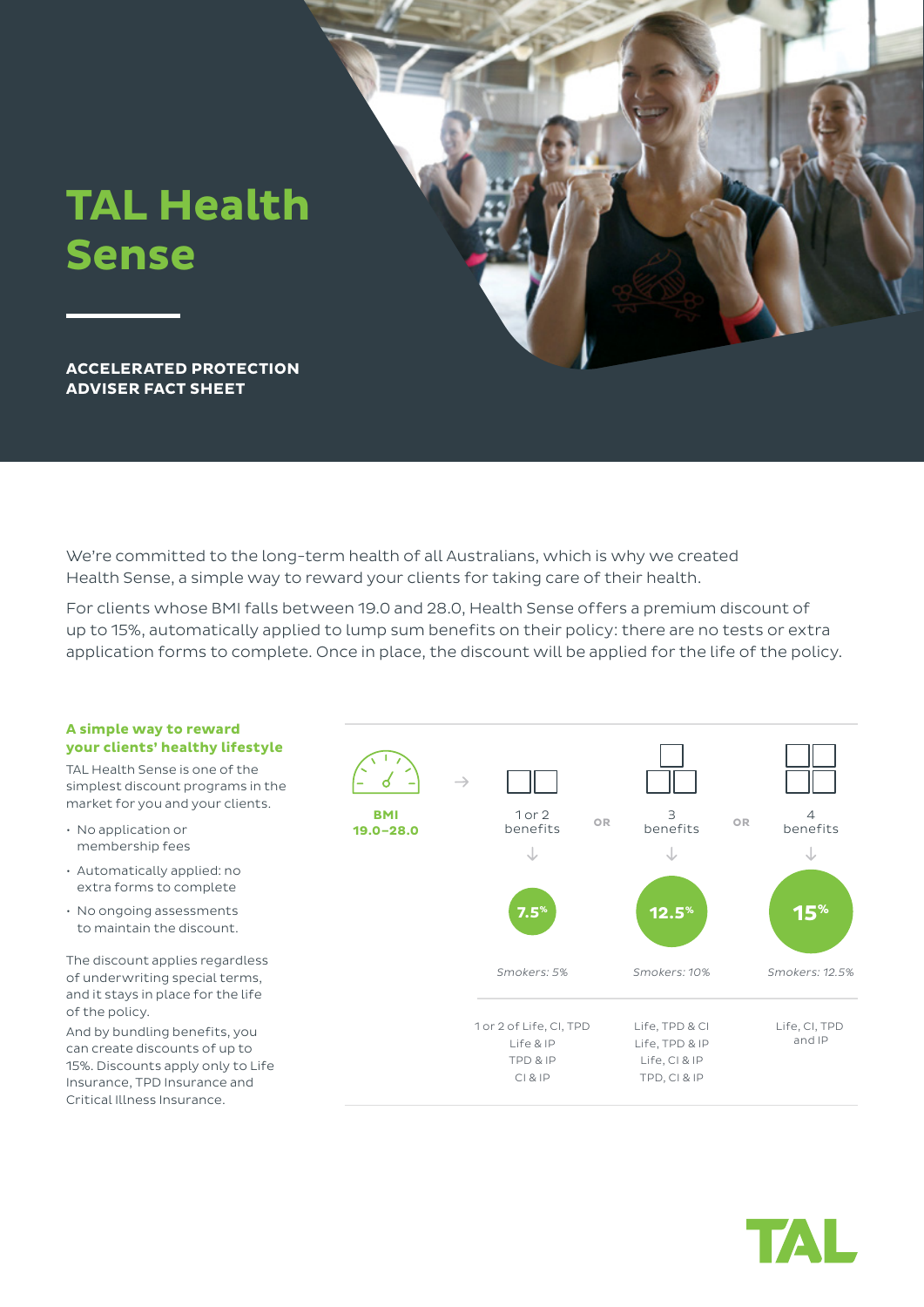

We're committed to the long-term health of all Australians, which is why we created Health Sense, a simple way to reward your clients for taking care of their health.

For clients whose BMI falls between 19.0 and 28.0, Health Sense offers a premium discount of up to 15%, automatically applied to lump sum benefits on their policy: there are no tests or extra application forms to complete. Once in place, the discount will be applied for the life of the policy.

# **A simple way to reward your clients' healthy lifestyle**

TAL Health Sense is one of the simplest discount programs in the market for you and your clients.

- No application or membership fees
- Automatically applied: no extra forms to complete
- No ongoing assessments to maintain the discount.

The discount applies regardless of underwriting special terms, and it stays in place for the life of the policy.

And by bundling benefits, you can create discounts of up to 15%. Discounts apply only to Life Insurance, TPD Insurance and Critical Illness Insurance.